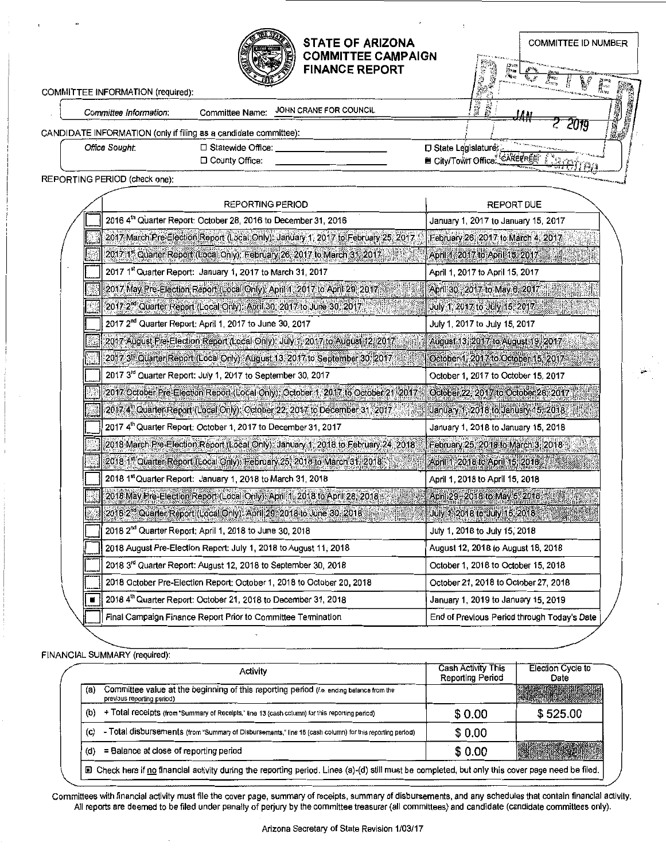| COMMITTEE INFORMATION (required):                                |                        | <b>STATE OF ARIZONA</b><br><b>COMMITTEE CAMPAIGN</b><br><b>FINANCE REPORT</b> |                            | <b>COMMITTEE ID NUMBER</b><br>$\int_{\mathbb{R}^{d+2} \times \mathbb{R}^{d} \times \mathbb{R}^{d}} \left\  \mathcal{L}_{\mathcal{A}} \left( \mathcal{L}_{\mathcal{A}} \right) \right\ _{L^2(\mathbb{R}^{d}) \times L^2(\mathbb{R}^{d})} \leq \left\  \mathcal{L}_{\mathcal{A}} \left( \mathcal{L}_{\mathcal{A}} \right) \right\ _{L^2(\mathbb{R}^{d}) \times L^2(\mathbb{R}^{d})} \leq \left\  \mathcal{L}_{\mathcal{A}} \left( \mathcal{L}_{\mathcal{A}} \right) \right\ _{L^2(\mathbb{$ |
|------------------------------------------------------------------|------------------------|-------------------------------------------------------------------------------|----------------------------|-------------------------------------------------------------------------------------------------------------------------------------------------------------------------------------------------------------------------------------------------------------------------------------------------------------------------------------------------------------------------------------------------------------------------------------------------------------------------------------------|
|                                                                  |                        | JOHN CRANE FOR COUNCIL                                                        |                            |                                                                                                                                                                                                                                                                                                                                                                                                                                                                                           |
| Committee Information:                                           | <b>Committee Name:</b> |                                                                               |                            | تقابل                                                                                                                                                                                                                                                                                                                                                                                                                                                                                     |
| CANDIDATE INFORMATION (only if filing as a candidate committee): |                        |                                                                               |                            |                                                                                                                                                                                                                                                                                                                                                                                                                                                                                           |
| Office Sought.                                                   | □ Statewide Office:    |                                                                               | □ State Legislature:       |                                                                                                                                                                                                                                                                                                                                                                                                                                                                                           |
|                                                                  | D County Office:       |                                                                               | <b>■ City/Town Office.</b> |                                                                                                                                                                                                                                                                                                                                                                                                                                                                                           |
| REPORTING PERIOD (check one):                                    |                        |                                                                               |                            | <b>AND THE STATE OF THE REAL PROPERTY AND INCOME.</b>                                                                                                                                                                                                                                                                                                                                                                                                                                     |

| REPORTING PERIOD                                                                         | <b>REPORT DUE</b>                           |
|------------------------------------------------------------------------------------------|---------------------------------------------|
| 2016 4th Quarter Report: October 28, 2016 to December 31, 2016                           | January 1, 2017 to January 15, 2017         |
| 2017 March Pre-Election Report (Local Only); January 1, 2017 to February 25, 2017        | February 26, 2017 to March 4, 2017.         |
| 2017 1 <sup>st</sup> Quarter Report (Local Only): February 26, 2017 to March 31, 2017    | April 1, 2017 to April 15, 2017.            |
| 2017 1st Quarter Report: January 1, 2017 to March 31, 2017                               | April 1, 2017 to April 15, 2017             |
| 2017 May Pre-Election Report (Local Only): April 1, 2017 to April 29, 2017               | April 30, 2017 to May 6, 2017               |
| 2017 2 <sup>nd</sup> Quarter Report (Local Only): April 30, 2017 to June 30, 2017        | July 1, 2017 to July 15, 2017.              |
| 2017 2 <sup>nd</sup> Quarter Report: April 1, 2017 to June 30, 2017                      | July 1, 2017 to July 15, 2017               |
| 2017 August Pre-Election Report (Local Only): July 1, 2017 to August 12, 2017.           | August 13, 2017 to August 19, 2017          |
| 2017 3 <sup>rd</sup> Quarter Report (Local Only): August 13, 2017 to September 30, 2017. | October 1, 2017 to October 15, 2017         |
| 2017 3rd Quarter Report: July 1, 2017 to September 30, 2017                              | October 1, 2017 to October 15, 2017         |
| 2017 October Pre-Election Report (Local Only): October 1, 2017 to October 21, 2017       | October 22, 2017 to October 28, 2017        |
| 2017 4 <sup>th</sup> Quarter Report (Local Only): October 22, 2017 to December 31, 2017  | January 1, 2018 to January 15, 2018         |
| 2017 4th Quarter Report: October 1, 2017 to December 31, 2017                            | January 1, 2018 to January 15, 2018         |
| 2018 March Pre-Election Report (Local Only): January 1, 2018 to February 24, 2018        | February 25, 2018 to March 3, 2018          |
| 2018 1st Quarter Report (Local Only): February 25, 2018 to March 31, 2018.               | April 1, 2018 to April 15, 2018             |
| 2018 1 <sup>st</sup> Quarter Report: January 1, 2018 to March 31, 2018                   | April 1, 2018 to April 15, 2018             |
| 2018 May Pre-Election Report (Local Only) April 1, 2018 to April 28, 2018                | April 29, 2018 to May 5, 2018               |
| 2018 2 <sup>nd</sup> Quarter Report (Local Only): April 29, 2018 to June 30, 2018        | July 1, 2018 to July 15, 2018               |
| 2018 2 <sup>nd</sup> Quarter Report; April 1, 2018 to June 30, 2018                      | July 1, 2018 to July 15, 2018               |
| 2018 August Pre-Election Report: July 1, 2018 to August 11, 2018                         | August 12, 2018 to August 18, 2018          |
| 2018 3 <sup>rd</sup> Quarter Report: August 12, 2018 to September 30, 2018               | October 1, 2018 to October 15, 2018         |
| 2018 October Pre-Election Report: October 1, 2018 to October 20, 2018                    | October 21, 2018 to October 27, 2018        |
| 2018 4th Quarter Report: October 21, 2018 to December 31, 2018                           | January 1, 2019 to January 15, 2019         |
| Final Campaign Finance Report Prior to Committee Termination                             | End of Previous Period through Today's Date |

FINANCIAL SUMMARY (required):

 $\overline{\phantom{a}}$ 

|     | Activity                                                                                                              | <b>Cash Activity This</b><br><b>Reporting Period</b> | <b>Election Cycle to</b><br>Date |
|-----|-----------------------------------------------------------------------------------------------------------------------|------------------------------------------------------|----------------------------------|
| (a) | Committee value at the beginning of this reporting period (i.e. ending balance from the<br>previous reporting period) |                                                      |                                  |
| (b) | + Total receipts (from "Summary of Receipts," line 13 (cash column) for this reporting period)                        | \$0.00                                               | \$525.00                         |
| (c) | - Total disbursements (from "Summary of Disbursements," line 16 (cash column) for this reporting period)              | \$0.00                                               |                                  |
| (d) | = Balance at close of reporting period                                                                                | \$0.00                                               |                                  |

Committees with financial activity must file the cover page, summary of receipts, summary of disbursements, and any schedules that contain financial activity. All reports are deemed to be filed under penalty of perjury by the committee treasurer (all committees) and candidate (candidate committees only).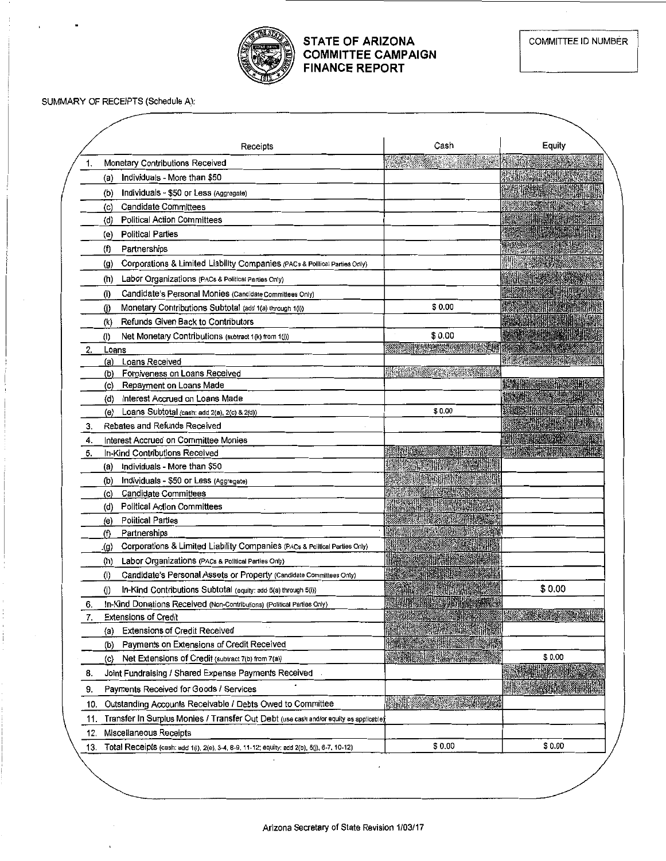

## STATE OF ARIZONA COMMITTEE CAMPAIGN FINANCE REPORT

### SUMMARY OF RECEIPTS (Schedule A):

|     | Receipts                                                                                         | Cash               | Equity |
|-----|--------------------------------------------------------------------------------------------------|--------------------|--------|
| 1.  | Monetary Contributions Received                                                                  |                    |        |
|     | Individuals - More than \$50<br>(a)                                                              |                    |        |
|     | Individuals - \$50 or Less (Aggregate)<br>(b)                                                    |                    |        |
|     | <b>Candidate Committees</b><br>(c)                                                               |                    |        |
|     | <b>Political Action Committees</b><br>(d)                                                        |                    |        |
|     | <b>Political Parties</b><br>(e)                                                                  |                    |        |
|     | (f)<br>Partnerships                                                                              |                    |        |
|     | Corporations & Limited Liability Companies (PACs & Polltical Parties Only)<br>$\left( 9 \right)$ |                    |        |
|     | Labor Organizations (PACs & Political Parties Only)<br>(h)                                       |                    |        |
|     | Candidate's Personal Monies (Candidate Committees Only)<br>(i)                                   |                    |        |
|     | Monetary Contributions Subtotal (add 1(a) through 1(i))<br>(j)                                   | \$0.00             |        |
|     | Refunds Given Back to Contributors<br>(k)                                                        |                    |        |
|     | Net Monetary Contributions (subtract 1(k) from 1(j))<br>(1)                                      | \$0.00             |        |
|     | Loans                                                                                            |                    |        |
|     | Loans Received<br>(a)                                                                            |                    |        |
|     | Forgiveness on Loans Received<br>(b)                                                             | <b>ANTISCHER</b>   |        |
|     | Repayment on Loans Made<br>(c)                                                                   |                    |        |
|     | Interest Accrued on Loans Made<br>(d)                                                            |                    |        |
|     | Loans Subtotal (cash: add $2(a)$ , $2(c)$ & $2(d)$ )<br>(e)                                      | \$0.00             |        |
| 3.  | Rebates and Refunds Received                                                                     |                    |        |
| 4.  | Interest Accrued on Committee Monies                                                             |                    |        |
| 5.  | In-Kind Contributions Received                                                                   |                    |        |
|     | Individuals - More than \$50<br>(a)                                                              |                    |        |
|     | Individuals - \$50 or Less (Aggregate)<br>(b)                                                    |                    |        |
|     | <b>Candidate Committees</b><br>(c)                                                               |                    |        |
|     | <b>Political Action Committees</b><br>(d)<br><b>Political Parties</b>                            |                    |        |
|     | (e)<br>Partnerships<br>(f)                                                                       |                    |        |
|     | Corporations & Limited Liability Companies (PACs & Political Parties Only)<br>.(g)               |                    |        |
|     | Labor Organizations (PACs & Political Parties Only)<br>(h)                                       |                    |        |
|     | Candidate's Personal Assets or Property (Candidate Committees Only)<br>(i)                       |                    |        |
|     | In-Kind Contributions Subtotal (equity: add 5(a) through 5(i))<br>(i)                            | <b>Le Rossiann</b> | \$0.00 |
| 6.  | In-Kind Donations Received (Non-Contributions) (Political Parties Only)                          |                    |        |
| 7.  | <b>Extensions of Credit</b>                                                                      |                    |        |
|     | <b>Extensions of Credit Received</b><br>(a)                                                      |                    |        |
|     | Payments on Extensions of Credit Received<br>(b)                                                 |                    |        |
|     | Net Extensions of Credit (subtract 7(b) from 7(a))<br>(c)                                        |                    | \$0.00 |
| 8.  | Joint Fundraising / Shared Expense Payments Received                                             |                    |        |
|     | Payments Received for Goods / Services                                                           |                    |        |
| 9.  |                                                                                                  |                    |        |
| 10. | Outstanding Accounts Receivable / Debts Owed to Committee                                        |                    |        |
| 11. | Transfer In Surplus Monies / Transfer Out Debt (use cash and/or equity as applicable)            |                    |        |
| 12. | Miscellaneous Receipts                                                                           |                    |        |
| 13. | Total Receipts (cash: add 1(i), 2(e), 3-4, 8-9, 11-12; equity: add 2(b), 5(j), 6-7, 10-12)       | \$0.00             | \$0.00 |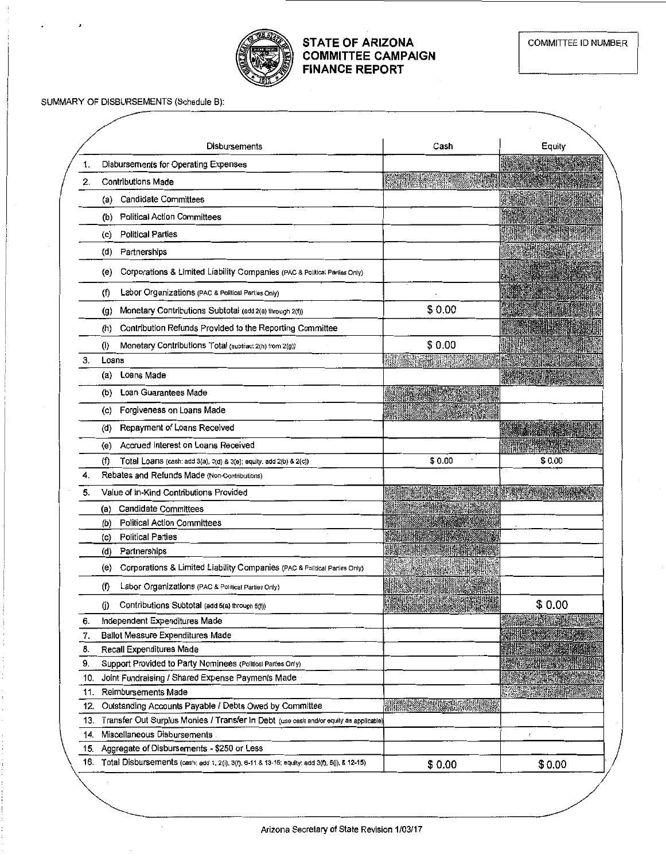

### STATE OF ARIZONA COMMITTEE CAMPAIGN FINANCE REPORT

SUMMARY OF DISBURSEMENTS (Schedule B):

|     | Disbursements                                                                                    | Cash   | Equity  |
|-----|--------------------------------------------------------------------------------------------------|--------|---------|
| 1.  | Disbursements for Operating Expenses                                                             |        |         |
| 2.  | <b>Contributions Made</b>                                                                        |        |         |
|     | Candidate Committees<br>(a)                                                                      |        |         |
|     | <b>Political Action Committees</b><br>(b)                                                        |        |         |
|     | <b>Political Parties</b><br>(c)                                                                  |        |         |
|     | Partnerships<br>(d)                                                                              |        |         |
|     | Corporations & Limited Liability Companies (PAC & Political Parties Only)<br>(e)                 |        |         |
|     | Labor Organizations (PAC & Political Parties Only)<br>(f)                                        |        |         |
|     | Monetary Contributions Subtotal (add 2(a) through 2(f))<br>$\left( 9 \right)$                    | \$0.00 |         |
|     | Contribution Refunds Provided to the Reporting Committee<br>(ከ)                                  |        |         |
|     | Monetary Contributions Total (subtract 2(h) from 2(g))<br>(i)                                    | \$0.00 |         |
| 3.  | Loans                                                                                            |        |         |
|     | Loans Made<br>(a)                                                                                |        |         |
|     | Loan Guarantees Made<br>(b)                                                                      |        |         |
|     | Forgiveness on Loans Made<br>(c)                                                                 |        |         |
|     | Repayment of Loans Received<br>(d)                                                               |        |         |
|     | Accrued Interest on Loans Received<br>(e)                                                        |        |         |
|     | (f)<br>Total Loans (cash: add 3(a), 3(d) & 3(e); equity: add 2(b) & 2(c))                        | \$0.00 | \$ 0.00 |
| 4.  | Rebates and Refunds Made (Non-Contributions)                                                     |        |         |
| 5.  | Value of In-Kind Contributions Provided                                                          |        |         |
|     | <b>Candidate Committees</b><br>(a)                                                               |        |         |
|     | <b>Political Action Committees</b><br>(b)                                                        |        |         |
|     | <b>Political Parties</b><br>(c)                                                                  |        |         |
|     | Partnerships<br>(d)                                                                              |        |         |
|     | Corporations & Limited Liability Companies (PAC & Political Parties Only)<br>(e)                 |        |         |
|     | (f)<br>Labor Organizations (PAC & Political Parties Only)                                        |        |         |
|     | Contributions Subtotal (add 5(a) through 5(f))<br>(j)                                            |        | \$0.00  |
| 6.  | Independent Expenditures Made                                                                    |        |         |
| 7.  | Ballot Measure Expenditures Made                                                                 |        |         |
| 8.  | Recall Expenditures Made                                                                         |        |         |
| 9.  | Support Provided to Party Nominees (Political Parties Only)                                      |        |         |
| 10. | Joint Fundraising / Shared Expense Payments Made                                                 |        |         |
| 11. | Reimbursements Made                                                                              |        |         |
| 12. | Outstanding Accounts Payable / Debts Owed by Committee                                           |        |         |
| 13. | Transfer Out Surplus Monies / Transfer In Debt (use cash and/or equity as applicable)            |        |         |
| 14. | Miscellaneous Disbursements                                                                      |        |         |
| 15. | Aggregate of Disbursements - \$250 or Less                                                       |        |         |
|     | 16. Total Disbursements (cash: add 1, 2(i), 3(f), 6-11 & 13-15; equity: add 3(f), 5(j), & 12-15) | \$0.00 | \$0.00  |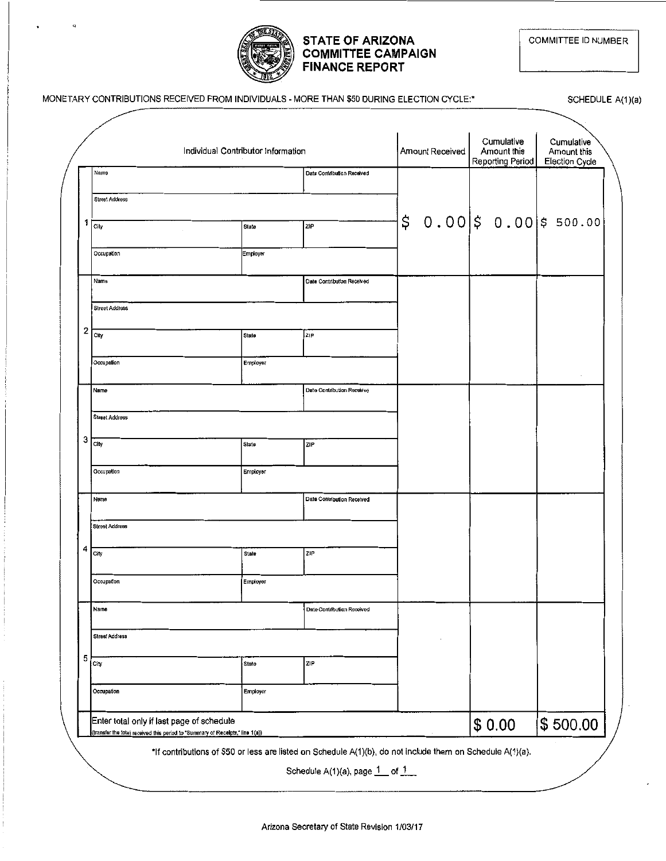

## **STATE OF ARIZONA COMMITTEE CAMPAIGN FINANCE REPORT**

# MONETARY CONTRIBUTIONS RECEIVED FROM INDIVIDUALS - MORE THAN \$50 DURING ELECTION CYCLE:\*

SCHEDULE A(1)(a)

|   |                                           | Individual Contributor Information |                            |    | Amount Received | Cumulative<br>Amount this |  | Cumulative<br>Amount this |
|---|-------------------------------------------|------------------------------------|----------------------------|----|-----------------|---------------------------|--|---------------------------|
|   | Name                                      |                                    | Date Contribution Received |    |                 | Reporting Period          |  | <b>Election Cycle</b>     |
|   | <b>Street Address</b>                     |                                    |                            |    |                 |                           |  |                           |
| 1 | City                                      | State                              | ZIP                        | \$ |                 |                           |  | $0.00$ \$ 0.00 \$ 500.00  |
|   | Occupation                                | Employer                           |                            |    |                 |                           |  |                           |
|   | Name                                      |                                    | Date Contribution Received |    |                 |                           |  |                           |
|   | <b>Street Address</b>                     |                                    |                            |    |                 |                           |  |                           |
| 2 | City                                      | State                              | <b>ZIP</b>                 |    |                 |                           |  |                           |
|   | Occupation                                | Employer                           |                            |    |                 |                           |  | $\cdot$                   |
|   | Name                                      |                                    | Date Contribution Received |    |                 |                           |  |                           |
|   | <b>Street Address</b>                     |                                    |                            |    |                 |                           |  |                           |
| 3 | City                                      | State                              | ZIP                        |    |                 |                           |  |                           |
|   | Occupation                                | Employer                           |                            |    |                 |                           |  |                           |
|   | Name                                      |                                    | Date Contribution Received |    |                 |                           |  |                           |
|   | <b>Street Address</b>                     |                                    |                            |    |                 |                           |  |                           |
| 4 | City                                      | State                              | ZIP                        |    |                 |                           |  |                           |
|   | Occupation                                | Employer                           |                            |    |                 |                           |  |                           |
|   | Name                                      |                                    | Date Contribution Received |    |                 |                           |  |                           |
|   | Street Address                            |                                    |                            |    |                 |                           |  |                           |
| 5 | City                                      | State                              | ZIP                        |    |                 |                           |  |                           |
|   | Occupation                                | <b>Employer</b>                    |                            |    |                 |                           |  |                           |
|   | Enter total only if last page of schedule |                                    |                            |    |                 | \$0.00                    |  | \$500.00                  |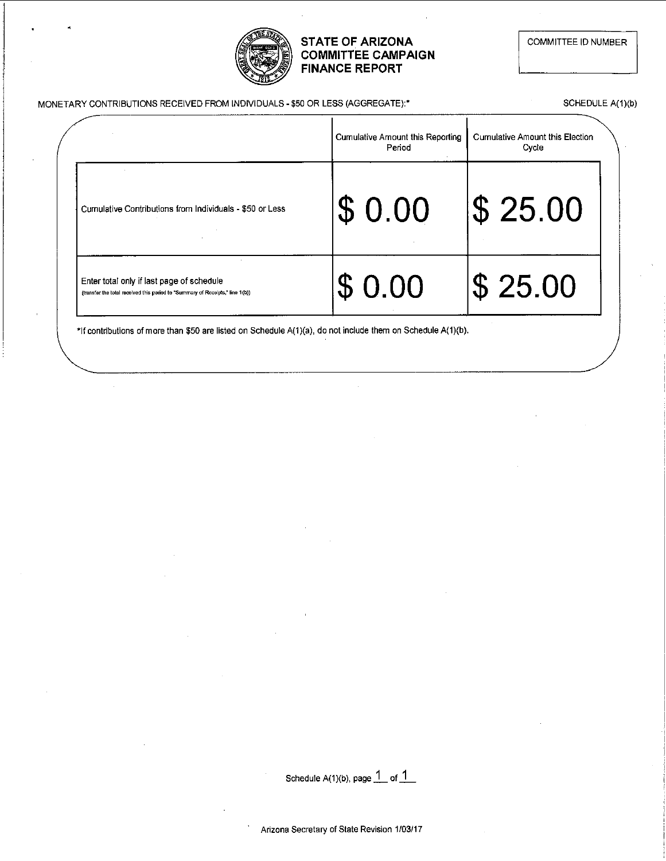

### STATE OF ARIZONA COMMITTEE CAMPAIGN FINANCE REPORT

COMMITTEE ID NUMBER

| MONETARY CONTRIBUTIONS RECEIVED FROM INDIVIDUALS - \$50 OR LESS (AGGREGATE):* |  |
|-------------------------------------------------------------------------------|--|
|-------------------------------------------------------------------------------|--|

SCHEDULE A(1)(b)

|                                                                                                                            | Cumulative Amount this Reporting<br>Period | Cumulative Amount this Election<br>Cycle |  |
|----------------------------------------------------------------------------------------------------------------------------|--------------------------------------------|------------------------------------------|--|
| Cumulative Contributions from Individuals - \$50 or Less                                                                   | \$0.00                                     | $\$ 25.00$                               |  |
| Enter total only if last page of schedule<br>(transfer the total received this period to "Summary of Receipts," line 1(b)) | \$0.00                                     | $\sqrt{3}$ 25.00                         |  |

\*If contributions of more than \$50 are listed on Schedule A(1)(a), do not include them on Schedule A(1)(b).

Schedule  $A(1)(b)$ , page  $\frac{1}{1}$  of  $\frac{1}{1}$